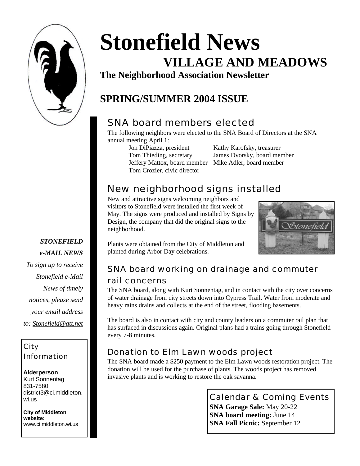

**Stonefield News VILLAGE AND MEADOWS**

**The Neighborhood Association Newsletter**

# **SPRING/SUMMER 2004 ISSUE**

## SNA board members elected

The following neighbors were elected to the SNA Board of Directors at the SNA annual meeting April 1:

Jon DiPiazza, president Kathy Karofsky, treasurer Jeffery Mattox, board member Mike Adler, board member Tom Crozier, civic director

Tom Thieding, secretary James Dvorsky, board member

## New neighborhood signs installed

New and attractive signs welcoming neighbors and visitors to Stonefield were installed the first week of May. The signs were produced and installed by Signs by Design, the company that did the original signs to the neighborhood.



Plants were obtained from the City of Middleton and planted during Arbor Day celebrations.

## SNA board working on drainage and commuter

#### rail concerns

The SNA board, along with Kurt Sonnentag, and in contact with the city over concerns of water drainage from city streets down into Cypress Trail. Water from moderate and heavy rains drains and collects at the end of the street, flooding basements.

The board is also in contact with city and county leaders on a commuter rail plan that has surfaced in discussions again. Original plans had a trains going through Stonefield every 7-8 minutes.

### Donation to Elm Lawn woods project

The SNA board made a \$250 payment to the Elm Lawn woods restoration project. The donation will be used for the purchase of plants. The woods project has removed invasive plants and is working to restore the oak savanna.

> Calendar & Coming Events **SNA Garage Sale:** May 20-22 **SNA board meeting: June 14 SNA Fall Picnic:** September 12

*STONEFIELD e-MAIL NEWS To sign up to receive Stonefield e-Mail News of timely notices, please send your email address to: Stonefield@att.net*

#### City Information

**Alderperson** Kurt Sonnentag 831-7580 district3@ci.middleton. wi.us

**City of Middleton website:** www.ci.middleton.wi.us